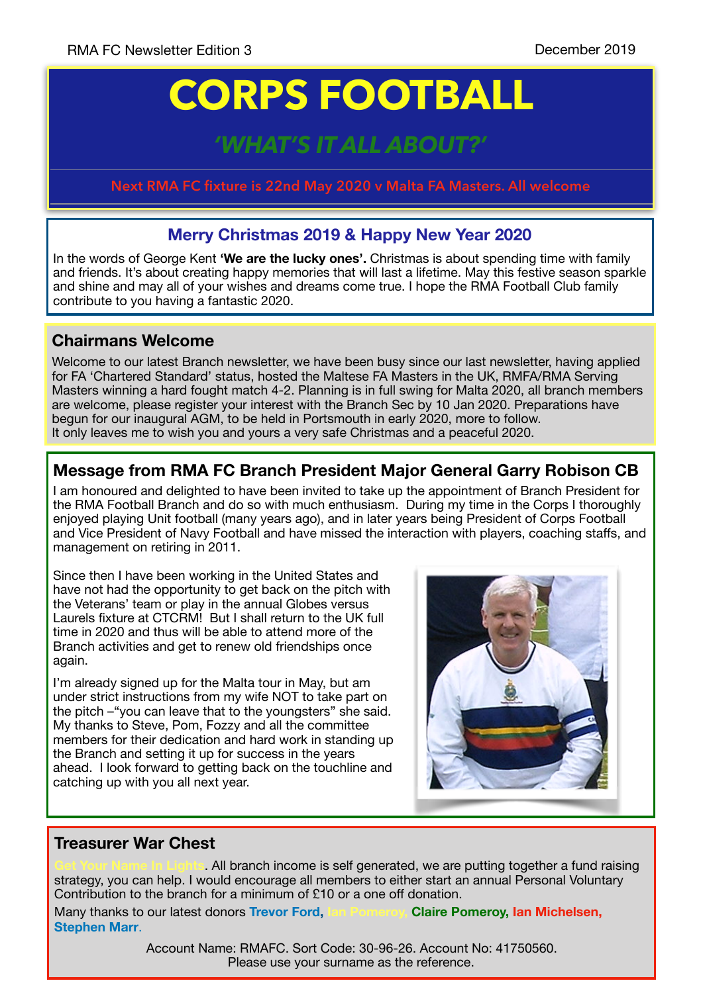# **CORPS FOOTBALL**

# *'HAT'S IT ALL ABOU*

**Next RMA FC fixture is 22nd May 2020 v Malta FA Masters. All welcome**

## **Merry Christmas 2019 & Happy New Year 2020**

In the words of George Kent **'We are the lucky ones'.** Christmas is about spending time with family and friends. It's about creating happy memories that will last a lifetime. May this festive season sparkle and shine and may all of your wishes and dreams come true. I hope the RMA Football Club family contribute to you having a fantastic 2020.

### **Chairmans Welcome**

Welcome to our latest Branch newsletter, we have been busy since our last newsletter, having applied for FA 'Chartered Standard' status, hosted the Maltese FA Masters in the UK, RMFA/RMA Serving Masters winning a hard fought match 4-2. Planning is in full swing for Malta 2020, all branch members are welcome, please register your interest with the Branch Sec by 10 Jan 2020. Preparations have begun for our inaugural AGM, to be held in Portsmouth in early 2020, more to follow. It only leaves me to wish you and yours a very safe Christmas and a peaceful 2020.

# **Message from RMA FC Branch President Major General Garry Robison CB**

I am honoured and delighted to have been invited to take up the appointment of Branch President for the RMA Football Branch and do so with much enthusiasm. During my time in the Corps I thoroughly enjoyed playing Unit football (many years ago), and in later years being President of Corps Football and Vice President of Navy Football and have missed the interaction with players, coaching staffs, and management on retiring in 2011.

Since then I have been working in the United States and have not had the opportunity to get back on the pitch with the Veterans' team or play in the annual Globes versus Laurels fixture at CTCRM! But I shall return to the UK full time in 2020 and thus will be able to attend more of the Branch activities and get to renew old friendships once again.

I'm already signed up for the Malta tour in May, but am under strict instructions from my wife NOT to take part on the pitch –"you can leave that to the youngsters" she said. My thanks to Steve, Pom, Fozzy and all the committee members for their dedication and hard work in standing up the Branch and setting it up for success in the years ahead. I look forward to getting back on the touchline and catching up with you all next year.



#### **Treasurer War Chest**

. All branch income is self generated, we are putting together a fund raising strategy, you can help. I would encourage all members to either start an annual Personal Voluntary Contribution to the branch for a minimum of £10 or a one off donation.

Many thanks to our latest donors **Trevor Ford, Ian Pomeroy, Claire Pomeroy, Ian Michelsen, Stephen Marr**.

> Please use your surname as the reference. Account Name: RMAFC. Sort Code: 30-96-26. Account No: 41750560.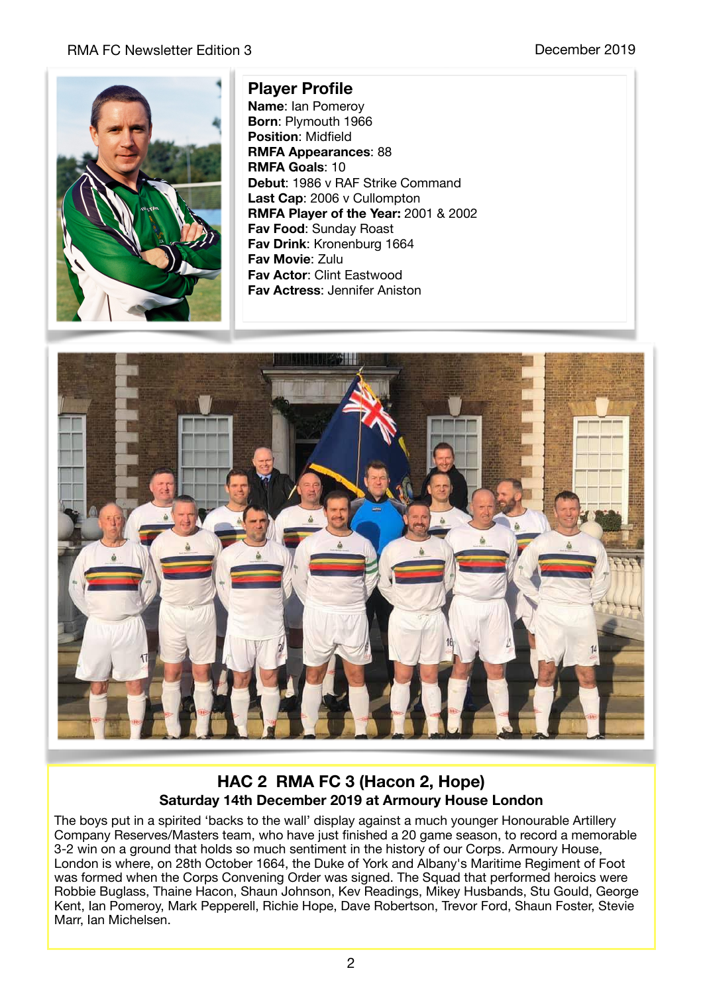#### RMA FC Newsletter Edition 3 **December 2019 December 2019**



#### **Player Profile**

**Name**: Ian Pomeroy **Born**: Plymouth 1966 **Position**: Midfield **RMFA Appearances**: 88 **RMFA Goals**: 10 **Debut**: 1986 v RAF Strike Command **Last Cap**: 2006 v Cullompton **RMFA Player of the Year:** 2001 & 2002 **Fav Food**: Sunday Roast **Fav Drink**: Kronenburg 1664 **Fav Movie**: Zulu **Fav Actor**: Clint Eastwood **Fav Actress**: Jennifer Aniston



#### **HAC 2 RMA FC 3 (Hacon 2, Hope) Saturday 14th December 2019 at Armoury House London**

The boys put in a spirited 'backs to the wall' display against a much younger Honourable Artillery Company Reserves/Masters team, who have just finished a 20 game season, to record a memorable 3-2 win on a ground that holds so much sentiment in the history of our Corps. Armoury House, London is where, on 28th October 1664, the Duke of York and Albany's Maritime Regiment of Foot was formed when the Corps Convening Order was signed. The Squad that performed heroics were Robbie Buglass, Thaine Hacon, Shaun Johnson, Kev Readings, Mikey Husbands, Stu Gould, George Kent, Ian Pomeroy, Mark Pepperell, Richie Hope, Dave Robertson, Trevor Ford, Shaun Foster, Stevie Marr, Ian Michelsen.